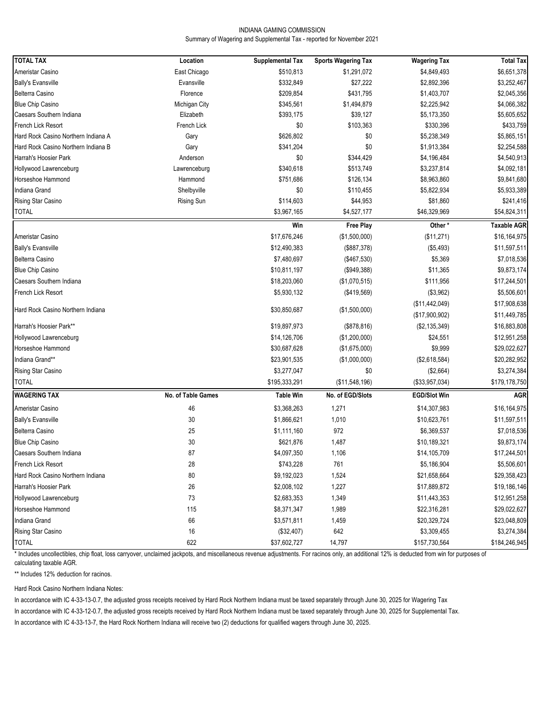#### INDIANA GAMING COMMISSION Summary of Wagering and Supplemental Tax - reported for November 2021

| Ameristar Casino<br>East Chicago<br>\$510,813<br>\$6,651,378<br>\$1,291,072<br>\$4,849,493<br>\$332,849<br>\$27,222<br><b>Bally's Evansville</b><br>Evansville<br>\$2,892,396<br>\$3,252,467<br>\$431,795<br>\$2,045,356<br>Belterra Casino<br>Florence<br>\$209,854<br>\$1,403,707<br><b>Blue Chip Casino</b><br>Michigan City<br>\$345,561<br>\$1,494,879<br>\$2,225,942<br>\$4,066,382<br>Caesars Southern Indiana<br>Elizabeth<br>\$393,175<br>\$39,127<br>\$5,173,350<br>\$5,605,652<br>\$433,759<br><b>French Lick Resort</b><br>French Lick<br>\$0<br>\$103,363<br>\$330,396<br>\$626,802<br>\$5,865,151<br>Hard Rock Casino Northern Indiana A<br>\$0<br>\$5,238,349<br>Gary<br>\$0<br>\$2,254,588<br>Hard Rock Casino Northern Indiana B<br>\$341,204<br>\$1,913,384<br>Gary<br>Harrah's Hoosier Park<br>\$0<br>\$344,429<br>\$4,196,484<br>\$4,540,913<br>Anderson<br>\$4,092,181<br>Hollywood Lawrenceburg<br>\$340,618<br>\$513,749<br>\$3,237,814<br>Lawrenceburg<br>\$9,841,680<br>Horseshoe Hammond<br>\$751,686<br>\$126,134<br>\$8,963,860<br>Hammond<br>\$5,933,389<br>Indiana Grand<br>Shelbyville<br>\$0<br>\$110,455<br>\$5,822,934<br>Rising Star Casino<br>\$241,416<br>Rising Sun<br>\$114,603<br>\$44,953<br>\$81,860<br>\$54,824,311<br><b>TOTAL</b><br>\$4,527,177<br>\$46,329,969<br>\$3,967,165<br>Win<br>Other*<br><b>Taxable AGR</b><br><b>Free Play</b><br>Ameristar Casino<br>\$17,676,246<br>(\$1,500,000)<br>(\$11,271)<br>\$16,164,975<br>\$11,597,511<br><b>Bally's Evansville</b><br>\$12,490,383<br>(\$887,378)<br>(\$5,493)<br>Belterra Casino<br>\$7,480,697<br>(\$467,530)<br>\$5,369<br>\$7,018,536<br><b>Blue Chip Casino</b><br>\$10,811,197<br>(\$949,388)<br>\$11,365<br>\$9,873,174<br>\$18,203,060<br>(\$1,070,515)<br>\$111,956<br>\$17,244,501<br>\$5,930,132<br>(\$419,569)<br>(\$3,962)<br>\$5,506,601<br>\$17,908,638<br>(\$11,442,049)<br>Hard Rock Casino Northern Indiana<br>\$30,850,687<br>(\$1,500,000)<br>(\$17,900,902)<br>\$11,449,785<br>\$19,897,973<br>(\$878, 816)<br>(\$2,135,349)<br>\$16,883,808<br>\$14,126,706<br>\$24,551<br>\$12,951,258<br>(\$1,200,000)<br>\$9,999<br>\$29,022,627<br>\$30,687,628<br>(\$1,675,000)<br>\$23,901,535<br>(\$1,000,000)<br>(\$2,618,584)<br>\$20,282,952<br>\$3,274,384<br>\$3,277,047<br>\$0<br>(\$2,664)<br>\$195,333,291<br>(\$11,548,196)<br>(\$33,957,034)<br>\$179,178,750<br>No. of Table Games<br>No. of EGD/Slots<br><b>EGD/Slot Win</b><br><b>Table Win</b><br><b>AGR</b><br>46<br>\$3,368,263<br>1,271<br>\$14,307,983<br>\$16,164,975<br>$30\,$<br>\$11,597,511<br>\$1,866,621<br>1,010<br>\$10,623,761<br>972<br>25<br>\$1,111,160<br>\$6,369,537<br>\$7,018,536<br>30<br>\$621,876<br>1,487<br>\$10,189,321<br>\$9,873,174<br>87<br>\$4,097,350<br>1,106<br>\$14,105,709<br>\$17,244,501<br>28<br>\$743,228<br>761<br>\$5,506,601<br>\$5,186,904<br>$80\,$<br>\$29,358,423<br>\$9,192,023<br>1,524<br>\$21,658,664<br>26<br>1,227<br>\$19,186,146<br>\$2,008,102<br>\$17,889,872 | <b>TOTAL TAX</b>                  |          |                         |                            |                     |                  |
|---------------------------------------------------------------------------------------------------------------------------------------------------------------------------------------------------------------------------------------------------------------------------------------------------------------------------------------------------------------------------------------------------------------------------------------------------------------------------------------------------------------------------------------------------------------------------------------------------------------------------------------------------------------------------------------------------------------------------------------------------------------------------------------------------------------------------------------------------------------------------------------------------------------------------------------------------------------------------------------------------------------------------------------------------------------------------------------------------------------------------------------------------------------------------------------------------------------------------------------------------------------------------------------------------------------------------------------------------------------------------------------------------------------------------------------------------------------------------------------------------------------------------------------------------------------------------------------------------------------------------------------------------------------------------------------------------------------------------------------------------------------------------------------------------------------------------------------------------------------------------------------------------------------------------------------------------------------------------------------------------------------------------------------------------------------------------------------------------------------------------------------------------------------------------------------------------------------------------------------------------------------------------------------------------------------------------------------------------------------------------------------------------------------------------------------------------------------------------------------------------------------------------------------------------------------------------------------------------------------------------------------------------------------------------------------------------------------------------------------------------------------------------------------------------------------------------------------------------------------------------------------------------------------------------------------------------------------------------------------------------------|-----------------------------------|----------|-------------------------|----------------------------|---------------------|------------------|
|                                                                                                                                                                                                                                                                                                                                                                                                                                                                                                                                                                                                                                                                                                                                                                                                                                                                                                                                                                                                                                                                                                                                                                                                                                                                                                                                                                                                                                                                                                                                                                                                                                                                                                                                                                                                                                                                                                                                                                                                                                                                                                                                                                                                                                                                                                                                                                                                                                                                                                                                                                                                                                                                                                                                                                                                                                                                                                                                                                                                         |                                   | Location | <b>Supplemental Tax</b> | <b>Sports Wagering Tax</b> | <b>Wagering Tax</b> | <b>Total Tax</b> |
|                                                                                                                                                                                                                                                                                                                                                                                                                                                                                                                                                                                                                                                                                                                                                                                                                                                                                                                                                                                                                                                                                                                                                                                                                                                                                                                                                                                                                                                                                                                                                                                                                                                                                                                                                                                                                                                                                                                                                                                                                                                                                                                                                                                                                                                                                                                                                                                                                                                                                                                                                                                                                                                                                                                                                                                                                                                                                                                                                                                                         |                                   |          |                         |                            |                     |                  |
|                                                                                                                                                                                                                                                                                                                                                                                                                                                                                                                                                                                                                                                                                                                                                                                                                                                                                                                                                                                                                                                                                                                                                                                                                                                                                                                                                                                                                                                                                                                                                                                                                                                                                                                                                                                                                                                                                                                                                                                                                                                                                                                                                                                                                                                                                                                                                                                                                                                                                                                                                                                                                                                                                                                                                                                                                                                                                                                                                                                                         |                                   |          |                         |                            |                     |                  |
|                                                                                                                                                                                                                                                                                                                                                                                                                                                                                                                                                                                                                                                                                                                                                                                                                                                                                                                                                                                                                                                                                                                                                                                                                                                                                                                                                                                                                                                                                                                                                                                                                                                                                                                                                                                                                                                                                                                                                                                                                                                                                                                                                                                                                                                                                                                                                                                                                                                                                                                                                                                                                                                                                                                                                                                                                                                                                                                                                                                                         |                                   |          |                         |                            |                     |                  |
|                                                                                                                                                                                                                                                                                                                                                                                                                                                                                                                                                                                                                                                                                                                                                                                                                                                                                                                                                                                                                                                                                                                                                                                                                                                                                                                                                                                                                                                                                                                                                                                                                                                                                                                                                                                                                                                                                                                                                                                                                                                                                                                                                                                                                                                                                                                                                                                                                                                                                                                                                                                                                                                                                                                                                                                                                                                                                                                                                                                                         |                                   |          |                         |                            |                     |                  |
|                                                                                                                                                                                                                                                                                                                                                                                                                                                                                                                                                                                                                                                                                                                                                                                                                                                                                                                                                                                                                                                                                                                                                                                                                                                                                                                                                                                                                                                                                                                                                                                                                                                                                                                                                                                                                                                                                                                                                                                                                                                                                                                                                                                                                                                                                                                                                                                                                                                                                                                                                                                                                                                                                                                                                                                                                                                                                                                                                                                                         |                                   |          |                         |                            |                     |                  |
|                                                                                                                                                                                                                                                                                                                                                                                                                                                                                                                                                                                                                                                                                                                                                                                                                                                                                                                                                                                                                                                                                                                                                                                                                                                                                                                                                                                                                                                                                                                                                                                                                                                                                                                                                                                                                                                                                                                                                                                                                                                                                                                                                                                                                                                                                                                                                                                                                                                                                                                                                                                                                                                                                                                                                                                                                                                                                                                                                                                                         |                                   |          |                         |                            |                     |                  |
|                                                                                                                                                                                                                                                                                                                                                                                                                                                                                                                                                                                                                                                                                                                                                                                                                                                                                                                                                                                                                                                                                                                                                                                                                                                                                                                                                                                                                                                                                                                                                                                                                                                                                                                                                                                                                                                                                                                                                                                                                                                                                                                                                                                                                                                                                                                                                                                                                                                                                                                                                                                                                                                                                                                                                                                                                                                                                                                                                                                                         |                                   |          |                         |                            |                     |                  |
|                                                                                                                                                                                                                                                                                                                                                                                                                                                                                                                                                                                                                                                                                                                                                                                                                                                                                                                                                                                                                                                                                                                                                                                                                                                                                                                                                                                                                                                                                                                                                                                                                                                                                                                                                                                                                                                                                                                                                                                                                                                                                                                                                                                                                                                                                                                                                                                                                                                                                                                                                                                                                                                                                                                                                                                                                                                                                                                                                                                                         |                                   |          |                         |                            |                     |                  |
|                                                                                                                                                                                                                                                                                                                                                                                                                                                                                                                                                                                                                                                                                                                                                                                                                                                                                                                                                                                                                                                                                                                                                                                                                                                                                                                                                                                                                                                                                                                                                                                                                                                                                                                                                                                                                                                                                                                                                                                                                                                                                                                                                                                                                                                                                                                                                                                                                                                                                                                                                                                                                                                                                                                                                                                                                                                                                                                                                                                                         |                                   |          |                         |                            |                     |                  |
|                                                                                                                                                                                                                                                                                                                                                                                                                                                                                                                                                                                                                                                                                                                                                                                                                                                                                                                                                                                                                                                                                                                                                                                                                                                                                                                                                                                                                                                                                                                                                                                                                                                                                                                                                                                                                                                                                                                                                                                                                                                                                                                                                                                                                                                                                                                                                                                                                                                                                                                                                                                                                                                                                                                                                                                                                                                                                                                                                                                                         |                                   |          |                         |                            |                     |                  |
|                                                                                                                                                                                                                                                                                                                                                                                                                                                                                                                                                                                                                                                                                                                                                                                                                                                                                                                                                                                                                                                                                                                                                                                                                                                                                                                                                                                                                                                                                                                                                                                                                                                                                                                                                                                                                                                                                                                                                                                                                                                                                                                                                                                                                                                                                                                                                                                                                                                                                                                                                                                                                                                                                                                                                                                                                                                                                                                                                                                                         |                                   |          |                         |                            |                     |                  |
|                                                                                                                                                                                                                                                                                                                                                                                                                                                                                                                                                                                                                                                                                                                                                                                                                                                                                                                                                                                                                                                                                                                                                                                                                                                                                                                                                                                                                                                                                                                                                                                                                                                                                                                                                                                                                                                                                                                                                                                                                                                                                                                                                                                                                                                                                                                                                                                                                                                                                                                                                                                                                                                                                                                                                                                                                                                                                                                                                                                                         |                                   |          |                         |                            |                     |                  |
|                                                                                                                                                                                                                                                                                                                                                                                                                                                                                                                                                                                                                                                                                                                                                                                                                                                                                                                                                                                                                                                                                                                                                                                                                                                                                                                                                                                                                                                                                                                                                                                                                                                                                                                                                                                                                                                                                                                                                                                                                                                                                                                                                                                                                                                                                                                                                                                                                                                                                                                                                                                                                                                                                                                                                                                                                                                                                                                                                                                                         |                                   |          |                         |                            |                     |                  |
|                                                                                                                                                                                                                                                                                                                                                                                                                                                                                                                                                                                                                                                                                                                                                                                                                                                                                                                                                                                                                                                                                                                                                                                                                                                                                                                                                                                                                                                                                                                                                                                                                                                                                                                                                                                                                                                                                                                                                                                                                                                                                                                                                                                                                                                                                                                                                                                                                                                                                                                                                                                                                                                                                                                                                                                                                                                                                                                                                                                                         |                                   |          |                         |                            |                     |                  |
|                                                                                                                                                                                                                                                                                                                                                                                                                                                                                                                                                                                                                                                                                                                                                                                                                                                                                                                                                                                                                                                                                                                                                                                                                                                                                                                                                                                                                                                                                                                                                                                                                                                                                                                                                                                                                                                                                                                                                                                                                                                                                                                                                                                                                                                                                                                                                                                                                                                                                                                                                                                                                                                                                                                                                                                                                                                                                                                                                                                                         |                                   |          |                         |                            |                     |                  |
|                                                                                                                                                                                                                                                                                                                                                                                                                                                                                                                                                                                                                                                                                                                                                                                                                                                                                                                                                                                                                                                                                                                                                                                                                                                                                                                                                                                                                                                                                                                                                                                                                                                                                                                                                                                                                                                                                                                                                                                                                                                                                                                                                                                                                                                                                                                                                                                                                                                                                                                                                                                                                                                                                                                                                                                                                                                                                                                                                                                                         |                                   |          |                         |                            |                     |                  |
|                                                                                                                                                                                                                                                                                                                                                                                                                                                                                                                                                                                                                                                                                                                                                                                                                                                                                                                                                                                                                                                                                                                                                                                                                                                                                                                                                                                                                                                                                                                                                                                                                                                                                                                                                                                                                                                                                                                                                                                                                                                                                                                                                                                                                                                                                                                                                                                                                                                                                                                                                                                                                                                                                                                                                                                                                                                                                                                                                                                                         |                                   |          |                         |                            |                     |                  |
|                                                                                                                                                                                                                                                                                                                                                                                                                                                                                                                                                                                                                                                                                                                                                                                                                                                                                                                                                                                                                                                                                                                                                                                                                                                                                                                                                                                                                                                                                                                                                                                                                                                                                                                                                                                                                                                                                                                                                                                                                                                                                                                                                                                                                                                                                                                                                                                                                                                                                                                                                                                                                                                                                                                                                                                                                                                                                                                                                                                                         |                                   |          |                         |                            |                     |                  |
|                                                                                                                                                                                                                                                                                                                                                                                                                                                                                                                                                                                                                                                                                                                                                                                                                                                                                                                                                                                                                                                                                                                                                                                                                                                                                                                                                                                                                                                                                                                                                                                                                                                                                                                                                                                                                                                                                                                                                                                                                                                                                                                                                                                                                                                                                                                                                                                                                                                                                                                                                                                                                                                                                                                                                                                                                                                                                                                                                                                                         |                                   |          |                         |                            |                     |                  |
|                                                                                                                                                                                                                                                                                                                                                                                                                                                                                                                                                                                                                                                                                                                                                                                                                                                                                                                                                                                                                                                                                                                                                                                                                                                                                                                                                                                                                                                                                                                                                                                                                                                                                                                                                                                                                                                                                                                                                                                                                                                                                                                                                                                                                                                                                                                                                                                                                                                                                                                                                                                                                                                                                                                                                                                                                                                                                                                                                                                                         | Caesars Southern Indiana          |          |                         |                            |                     |                  |
|                                                                                                                                                                                                                                                                                                                                                                                                                                                                                                                                                                                                                                                                                                                                                                                                                                                                                                                                                                                                                                                                                                                                                                                                                                                                                                                                                                                                                                                                                                                                                                                                                                                                                                                                                                                                                                                                                                                                                                                                                                                                                                                                                                                                                                                                                                                                                                                                                                                                                                                                                                                                                                                                                                                                                                                                                                                                                                                                                                                                         | French Lick Resort                |          |                         |                            |                     |                  |
|                                                                                                                                                                                                                                                                                                                                                                                                                                                                                                                                                                                                                                                                                                                                                                                                                                                                                                                                                                                                                                                                                                                                                                                                                                                                                                                                                                                                                                                                                                                                                                                                                                                                                                                                                                                                                                                                                                                                                                                                                                                                                                                                                                                                                                                                                                                                                                                                                                                                                                                                                                                                                                                                                                                                                                                                                                                                                                                                                                                                         |                                   |          |                         |                            |                     |                  |
|                                                                                                                                                                                                                                                                                                                                                                                                                                                                                                                                                                                                                                                                                                                                                                                                                                                                                                                                                                                                                                                                                                                                                                                                                                                                                                                                                                                                                                                                                                                                                                                                                                                                                                                                                                                                                                                                                                                                                                                                                                                                                                                                                                                                                                                                                                                                                                                                                                                                                                                                                                                                                                                                                                                                                                                                                                                                                                                                                                                                         |                                   |          |                         |                            |                     |                  |
|                                                                                                                                                                                                                                                                                                                                                                                                                                                                                                                                                                                                                                                                                                                                                                                                                                                                                                                                                                                                                                                                                                                                                                                                                                                                                                                                                                                                                                                                                                                                                                                                                                                                                                                                                                                                                                                                                                                                                                                                                                                                                                                                                                                                                                                                                                                                                                                                                                                                                                                                                                                                                                                                                                                                                                                                                                                                                                                                                                                                         | Harrah's Hoosier Park**           |          |                         |                            |                     |                  |
|                                                                                                                                                                                                                                                                                                                                                                                                                                                                                                                                                                                                                                                                                                                                                                                                                                                                                                                                                                                                                                                                                                                                                                                                                                                                                                                                                                                                                                                                                                                                                                                                                                                                                                                                                                                                                                                                                                                                                                                                                                                                                                                                                                                                                                                                                                                                                                                                                                                                                                                                                                                                                                                                                                                                                                                                                                                                                                                                                                                                         | Hollywood Lawrenceburg            |          |                         |                            |                     |                  |
|                                                                                                                                                                                                                                                                                                                                                                                                                                                                                                                                                                                                                                                                                                                                                                                                                                                                                                                                                                                                                                                                                                                                                                                                                                                                                                                                                                                                                                                                                                                                                                                                                                                                                                                                                                                                                                                                                                                                                                                                                                                                                                                                                                                                                                                                                                                                                                                                                                                                                                                                                                                                                                                                                                                                                                                                                                                                                                                                                                                                         | Horseshoe Hammond                 |          |                         |                            |                     |                  |
|                                                                                                                                                                                                                                                                                                                                                                                                                                                                                                                                                                                                                                                                                                                                                                                                                                                                                                                                                                                                                                                                                                                                                                                                                                                                                                                                                                                                                                                                                                                                                                                                                                                                                                                                                                                                                                                                                                                                                                                                                                                                                                                                                                                                                                                                                                                                                                                                                                                                                                                                                                                                                                                                                                                                                                                                                                                                                                                                                                                                         | Indiana Grand**                   |          |                         |                            |                     |                  |
|                                                                                                                                                                                                                                                                                                                                                                                                                                                                                                                                                                                                                                                                                                                                                                                                                                                                                                                                                                                                                                                                                                                                                                                                                                                                                                                                                                                                                                                                                                                                                                                                                                                                                                                                                                                                                                                                                                                                                                                                                                                                                                                                                                                                                                                                                                                                                                                                                                                                                                                                                                                                                                                                                                                                                                                                                                                                                                                                                                                                         | Rising Star Casino                |          |                         |                            |                     |                  |
|                                                                                                                                                                                                                                                                                                                                                                                                                                                                                                                                                                                                                                                                                                                                                                                                                                                                                                                                                                                                                                                                                                                                                                                                                                                                                                                                                                                                                                                                                                                                                                                                                                                                                                                                                                                                                                                                                                                                                                                                                                                                                                                                                                                                                                                                                                                                                                                                                                                                                                                                                                                                                                                                                                                                                                                                                                                                                                                                                                                                         | <b>TOTAL</b>                      |          |                         |                            |                     |                  |
|                                                                                                                                                                                                                                                                                                                                                                                                                                                                                                                                                                                                                                                                                                                                                                                                                                                                                                                                                                                                                                                                                                                                                                                                                                                                                                                                                                                                                                                                                                                                                                                                                                                                                                                                                                                                                                                                                                                                                                                                                                                                                                                                                                                                                                                                                                                                                                                                                                                                                                                                                                                                                                                                                                                                                                                                                                                                                                                                                                                                         | <b>WAGERING TAX</b>               |          |                         |                            |                     |                  |
|                                                                                                                                                                                                                                                                                                                                                                                                                                                                                                                                                                                                                                                                                                                                                                                                                                                                                                                                                                                                                                                                                                                                                                                                                                                                                                                                                                                                                                                                                                                                                                                                                                                                                                                                                                                                                                                                                                                                                                                                                                                                                                                                                                                                                                                                                                                                                                                                                                                                                                                                                                                                                                                                                                                                                                                                                                                                                                                                                                                                         | Ameristar Casino                  |          |                         |                            |                     |                  |
|                                                                                                                                                                                                                                                                                                                                                                                                                                                                                                                                                                                                                                                                                                                                                                                                                                                                                                                                                                                                                                                                                                                                                                                                                                                                                                                                                                                                                                                                                                                                                                                                                                                                                                                                                                                                                                                                                                                                                                                                                                                                                                                                                                                                                                                                                                                                                                                                                                                                                                                                                                                                                                                                                                                                                                                                                                                                                                                                                                                                         | <b>Bally's Evansville</b>         |          |                         |                            |                     |                  |
|                                                                                                                                                                                                                                                                                                                                                                                                                                                                                                                                                                                                                                                                                                                                                                                                                                                                                                                                                                                                                                                                                                                                                                                                                                                                                                                                                                                                                                                                                                                                                                                                                                                                                                                                                                                                                                                                                                                                                                                                                                                                                                                                                                                                                                                                                                                                                                                                                                                                                                                                                                                                                                                                                                                                                                                                                                                                                                                                                                                                         | <b>Belterra Casino</b>            |          |                         |                            |                     |                  |
|                                                                                                                                                                                                                                                                                                                                                                                                                                                                                                                                                                                                                                                                                                                                                                                                                                                                                                                                                                                                                                                                                                                                                                                                                                                                                                                                                                                                                                                                                                                                                                                                                                                                                                                                                                                                                                                                                                                                                                                                                                                                                                                                                                                                                                                                                                                                                                                                                                                                                                                                                                                                                                                                                                                                                                                                                                                                                                                                                                                                         | <b>Blue Chip Casino</b>           |          |                         |                            |                     |                  |
|                                                                                                                                                                                                                                                                                                                                                                                                                                                                                                                                                                                                                                                                                                                                                                                                                                                                                                                                                                                                                                                                                                                                                                                                                                                                                                                                                                                                                                                                                                                                                                                                                                                                                                                                                                                                                                                                                                                                                                                                                                                                                                                                                                                                                                                                                                                                                                                                                                                                                                                                                                                                                                                                                                                                                                                                                                                                                                                                                                                                         | Caesars Southern Indiana          |          |                         |                            |                     |                  |
|                                                                                                                                                                                                                                                                                                                                                                                                                                                                                                                                                                                                                                                                                                                                                                                                                                                                                                                                                                                                                                                                                                                                                                                                                                                                                                                                                                                                                                                                                                                                                                                                                                                                                                                                                                                                                                                                                                                                                                                                                                                                                                                                                                                                                                                                                                                                                                                                                                                                                                                                                                                                                                                                                                                                                                                                                                                                                                                                                                                                         | French Lick Resort                |          |                         |                            |                     |                  |
|                                                                                                                                                                                                                                                                                                                                                                                                                                                                                                                                                                                                                                                                                                                                                                                                                                                                                                                                                                                                                                                                                                                                                                                                                                                                                                                                                                                                                                                                                                                                                                                                                                                                                                                                                                                                                                                                                                                                                                                                                                                                                                                                                                                                                                                                                                                                                                                                                                                                                                                                                                                                                                                                                                                                                                                                                                                                                                                                                                                                         | Hard Rock Casino Northern Indiana |          |                         |                            |                     |                  |
|                                                                                                                                                                                                                                                                                                                                                                                                                                                                                                                                                                                                                                                                                                                                                                                                                                                                                                                                                                                                                                                                                                                                                                                                                                                                                                                                                                                                                                                                                                                                                                                                                                                                                                                                                                                                                                                                                                                                                                                                                                                                                                                                                                                                                                                                                                                                                                                                                                                                                                                                                                                                                                                                                                                                                                                                                                                                                                                                                                                                         | Harrah's Hoosier Park             |          |                         |                            |                     |                  |
| 73<br>1,349<br>\$12,951,258<br>\$2,683,353<br>\$11,443,353                                                                                                                                                                                                                                                                                                                                                                                                                                                                                                                                                                                                                                                                                                                                                                                                                                                                                                                                                                                                                                                                                                                                                                                                                                                                                                                                                                                                                                                                                                                                                                                                                                                                                                                                                                                                                                                                                                                                                                                                                                                                                                                                                                                                                                                                                                                                                                                                                                                                                                                                                                                                                                                                                                                                                                                                                                                                                                                                              | Hollywood Lawrenceburg            |          |                         |                            |                     |                  |
| 115<br>\$29,022,627<br>\$8,371,347<br>1,989<br>\$22,316,281                                                                                                                                                                                                                                                                                                                                                                                                                                                                                                                                                                                                                                                                                                                                                                                                                                                                                                                                                                                                                                                                                                                                                                                                                                                                                                                                                                                                                                                                                                                                                                                                                                                                                                                                                                                                                                                                                                                                                                                                                                                                                                                                                                                                                                                                                                                                                                                                                                                                                                                                                                                                                                                                                                                                                                                                                                                                                                                                             | Horseshoe Hammond                 |          |                         |                            |                     |                  |
| 66<br>\$23,048,809<br>\$3,571,811<br>1,459<br>\$20,329,724                                                                                                                                                                                                                                                                                                                                                                                                                                                                                                                                                                                                                                                                                                                                                                                                                                                                                                                                                                                                                                                                                                                                                                                                                                                                                                                                                                                                                                                                                                                                                                                                                                                                                                                                                                                                                                                                                                                                                                                                                                                                                                                                                                                                                                                                                                                                                                                                                                                                                                                                                                                                                                                                                                                                                                                                                                                                                                                                              | Indiana Grand                     |          |                         |                            |                     |                  |
| 16<br>642<br>\$3,274,384<br>(\$32,407)<br>\$3,309,455                                                                                                                                                                                                                                                                                                                                                                                                                                                                                                                                                                                                                                                                                                                                                                                                                                                                                                                                                                                                                                                                                                                                                                                                                                                                                                                                                                                                                                                                                                                                                                                                                                                                                                                                                                                                                                                                                                                                                                                                                                                                                                                                                                                                                                                                                                                                                                                                                                                                                                                                                                                                                                                                                                                                                                                                                                                                                                                                                   | Rising Star Casino                |          |                         |                            |                     |                  |
| 622<br>14,797<br>\$184,246,945<br>\$37,602,727<br>\$157,730,564                                                                                                                                                                                                                                                                                                                                                                                                                                                                                                                                                                                                                                                                                                                                                                                                                                                                                                                                                                                                                                                                                                                                                                                                                                                                                                                                                                                                                                                                                                                                                                                                                                                                                                                                                                                                                                                                                                                                                                                                                                                                                                                                                                                                                                                                                                                                                                                                                                                                                                                                                                                                                                                                                                                                                                                                                                                                                                                                         | <b>TOTAL</b>                      |          |                         |                            |                     |                  |

\* Includes uncollectibles, chip float, loss carryover, unclaimed jackpots, and miscellaneous revenue adjustments. For racinos only, an additional 12% is deducted from win for purposes of calculating taxable AGR.

\*\* Includes 12% deduction for racinos.

Hard Rock Casino Northern Indiana Notes:

In accordance with IC 4-33-13-0.7, the adjusted gross receipts received by Hard Rock Northern Indiana must be taxed separately through June 30, 2025 for Wagering Tax

In accordance with IC 4-33-12-0.7, the adjusted gross receipts received by Hard Rock Northern Indiana must be taxed separately through June 30, 2025 for Supplemental Tax.

In accordance with IC 4-33-13-7, the Hard Rock Northern Indiana will receive two (2) deductions for qualified wagers through June 30, 2025.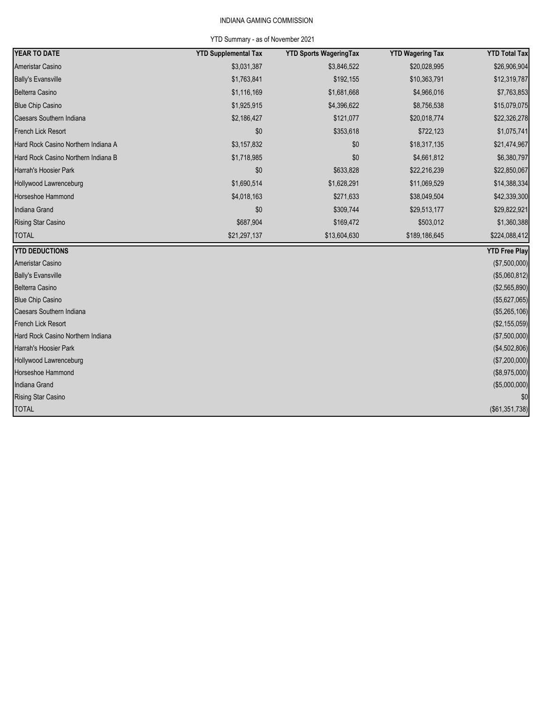# INDIANA GAMING COMMISSION

# YTD Summary - as of November 2021

| <b>YEAR TO DATE</b>                 | <b>YTD Supplemental Tax</b> | <b>YTD Sports WageringTax</b> | <b>YTD Wagering Tax</b> | <b>YTD Total Tax</b> |
|-------------------------------------|-----------------------------|-------------------------------|-------------------------|----------------------|
| Ameristar Casino                    | \$3,031,387                 | \$3,846,522                   | \$20,028,995            | \$26,906,904         |
| <b>Bally's Evansville</b>           | \$1,763,841                 | \$192,155                     | \$10,363,791            | \$12,319,787         |
| Belterra Casino                     | \$1,116,169                 | \$1,681,668                   | \$4,966,016             | \$7,763,853          |
| <b>Blue Chip Casino</b>             | \$1,925,915                 | \$4,396,622                   | \$8,756,538             | \$15,079,075         |
| Caesars Southern Indiana            | \$2,186,427                 | \$121,077                     | \$20,018,774            | \$22,326,278         |
| <b>French Lick Resort</b>           | \$0                         | \$353,618                     | \$722,123               | \$1,075,741          |
| Hard Rock Casino Northern Indiana A | \$3,157,832                 | \$0                           | \$18,317,135            | \$21,474,967         |
| Hard Rock Casino Northern Indiana B | \$1,718,985                 | \$0                           | \$4,661,812             | \$6,380,797          |
| Harrah's Hoosier Park               | \$0                         | \$633,828                     | \$22,216,239            | \$22,850,067         |
| Hollywood Lawrenceburg              | \$1,690,514                 | \$1,628,291                   | \$11,069,529            | \$14,388,334         |
| Horseshoe Hammond                   | \$4,018,163                 | \$271,633                     | \$38,049,504            | \$42,339,300         |
| Indiana Grand                       | \$0                         | \$309,744                     | \$29,513,177            | \$29,822,921         |
| <b>Rising Star Casino</b>           | \$687,904                   | \$169,472                     | \$503,012               | \$1,360,388          |
| <b>TOTAL</b>                        | \$21,297,137                | \$13,604,630                  | \$189,186,645           | \$224,088,412        |
| <b>YTD DEDUCTIONS</b>               |                             |                               |                         | <b>YTD Free Play</b> |
| Ameristar Casino                    |                             |                               |                         | (\$7,500,000)        |
| <b>Bally's Evansville</b>           |                             |                               |                         | (\$5,060,812)        |
| Belterra Casino                     |                             |                               |                         | (\$2,565,890)        |
| <b>Blue Chip Casino</b>             |                             |                               |                         | (\$5,627,065)        |
| Caesars Southern Indiana            |                             |                               |                         | (\$5,265,106)        |
| <b>French Lick Resort</b>           |                             |                               |                         | (\$2,155,059)        |
| Hard Rock Casino Northern Indiana   |                             |                               |                         | (\$7,500,000)        |
| Harrah's Hoosier Park               |                             |                               |                         | (\$4,502,806)        |
| Hollywood Lawrenceburg              |                             |                               |                         | (\$7,200,000)        |
| Horseshoe Hammond                   |                             |                               |                         | (\$8,975,000)        |
| Indiana Grand                       |                             |                               |                         | (\$5,000,000)        |
| <b>Rising Star Casino</b>           |                             |                               |                         | \$0                  |
| <b>TOTAL</b>                        |                             |                               |                         | (\$61,351,738)       |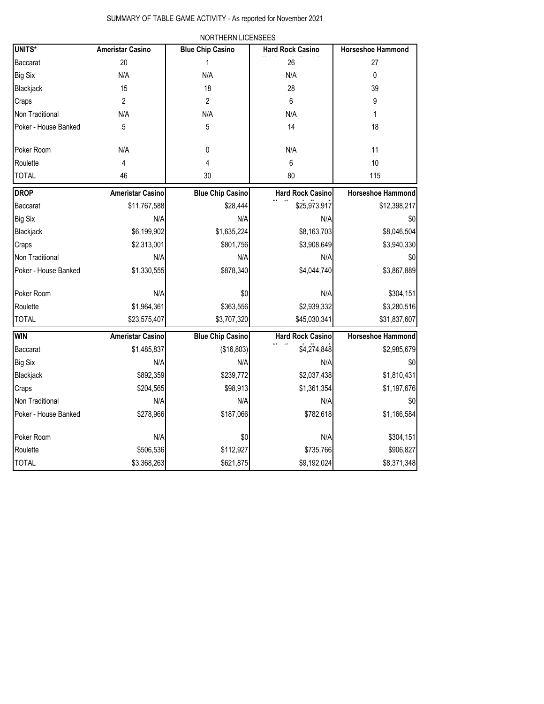|                      |                         | NORTHERN LICENSEES      |                         |                          |
|----------------------|-------------------------|-------------------------|-------------------------|--------------------------|
| <b>UNITS*</b>        | <b>Ameristar Casino</b> | <b>Blue Chip Casino</b> | <b>Hard Rock Casino</b> | <b>Horseshoe Hammond</b> |
| Baccarat             | 20                      | 1                       | 26                      | 27                       |
| Big Six              | N/A                     | N/A                     | N/A                     | 0                        |
| Blackjack            | 15                      | 18                      | 28                      | 39                       |
| Craps                | $\overline{2}$          | $\overline{2}$          | 6                       | 9                        |
| Non Traditional      | N/A                     | N/A                     | N/A                     | 1                        |
| Poker - House Banked | 5                       | 5                       | 14                      | 18                       |
| Poker Room           | N/A                     | $\mathbf 0$             | N/A                     | 11                       |
| Roulette             | 4                       | 4                       | 6                       | 10                       |
| <b>TOTAL</b>         | 46                      | 30                      | 80                      | 115                      |
| <b>DROP</b>          | <b>Ameristar Casino</b> | <b>Blue Chip Casino</b> | <b>Hard Rock Casino</b> | <b>Horseshoe Hammond</b> |
| Baccarat             | \$11,767,588            | \$28,444                | \$25,973,917            | \$12,398,217             |
| Big Six              | N/A                     | N/A                     | N/A                     | \$0                      |
| Blackjack            | \$6,199,902             | \$1,635,224             | \$8,163,703             | \$8,046,504              |
| Craps                | \$2,313,001             | \$801,756               | \$3,908,649             | \$3,940,330              |
| Non Traditional      | N/A                     | N/A                     | N/A                     | \$0                      |
| Poker - House Banked | \$1,330,555             | \$878,340               | \$4,044,740             | \$3,867,889              |
| Poker Room           | N/A                     | \$0                     | N/A                     | \$304,151                |
| Roulette             | \$1,964,361             | \$363,556               | \$2,939,332             | \$3,280,516              |
| <b>TOTAL</b>         | \$23,575,407            | \$3,707,320             | \$45,030,341            | \$31,837,607             |
| Win                  | <b>Ameristar Casino</b> | <b>Blue Chip Casino</b> | <b>Hard Rock Casino</b> | <b>Horseshoe Hammond</b> |
| Baccarat             | \$1,485,837             | (\$16,803)              | \$4,274,848             | \$2,985,679              |
| Big Six              | N/A                     | N/A                     | N/A                     | \$0                      |
| Blackjack            | \$892,359               | \$239,772               | \$2,037,438             | \$1,810,431              |
| Craps                | \$204,565               | \$98,913                | \$1,361,354             | \$1,197,676              |
| Non Traditional      | N/A                     | N/A                     | N/A                     | \$0                      |
| Poker - House Banked | \$278,966               | \$187,066               | \$782,618               | \$1,166,584              |
| Poker Room           | N/A                     | \$0                     | N/A                     | \$304,151                |
| Roulette             | \$506,536               | \$112,927               | \$735,766               | \$906,827                |
| <b>TOTAL</b>         | \$3,368,263             | \$621,875               | \$9,192,024             | \$8,371,348              |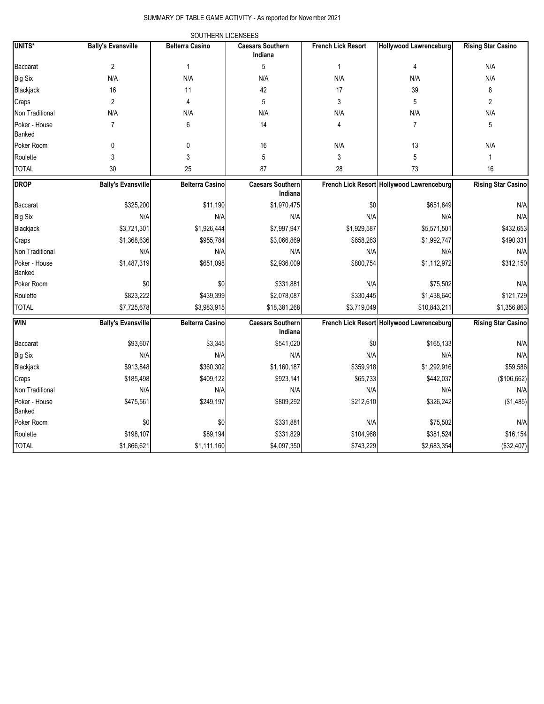## SUMMARY OF TABLE GAME ACTIVITY - As reported for November 2021

|                         |                           | SOUTHERN LICENSEES     |                                    |                           |                                           |                           |
|-------------------------|---------------------------|------------------------|------------------------------------|---------------------------|-------------------------------------------|---------------------------|
| <b>UNITS*</b>           | <b>Bally's Evansville</b> | <b>Belterra Casino</b> | <b>Caesars Southern</b><br>Indiana | <b>French Lick Resort</b> | <b>Hollywood Lawrenceburg</b>             | <b>Rising Star Casino</b> |
| Baccarat                | 2                         | 1                      | 5                                  | $\mathbf{1}$              | 4                                         | N/A                       |
| <b>Big Six</b>          | N/A                       | N/A                    | N/A                                | N/A                       | N/A                                       | N/A                       |
| Blackjack               | 16                        | 11                     | 42                                 | 17                        | 39                                        | 8                         |
| Craps                   | 2                         | 4                      | 5                                  | 3                         | 5                                         | $\overline{2}$            |
| Non Traditional         | N/A                       | N/A                    | N/A                                | N/A                       | N/A                                       | N/A                       |
| Poker - House<br>Banked | $\overline{7}$            | 6                      | 14                                 | 4                         | $\overline{7}$                            | 5                         |
| Poker Room              | 0                         | 0                      | 16                                 | N/A                       | 13                                        | N/A                       |
| Roulette                | 3                         | 3                      | 5                                  | 3                         | 5                                         | $\mathbf{1}$              |
| <b>TOTAL</b>            | 30                        | 25                     | 87                                 | 28                        | 73                                        | 16                        |
| <b>DROP</b>             | <b>Bally's Evansville</b> | <b>Belterra Casino</b> | <b>Caesars Southern</b><br>Indiana |                           | French Lick Resort Hollywood Lawrenceburg | <b>Rising Star Casino</b> |
| Baccarat                | \$325,200                 | \$11,190               | \$1,970,475                        | \$0                       | \$651,849                                 | N/A                       |
| <b>Big Six</b>          | N/A                       | N/A                    | N/A                                | N/A                       | N/A                                       | N/A                       |
| Blackjack               | \$3,721,301               | \$1,926,444            | \$7,997,947                        | \$1,929,587               | \$5,571,501                               | \$432,653                 |
| Craps                   | \$1,368,636               | \$955,784              | \$3,066,869                        | \$658,263                 | \$1,992,747                               | \$490,331                 |
| Non Traditional         | N/A                       | N/A                    | N/A                                | N/A                       | N/A                                       | N/A                       |
| Poker - House<br>Banked | \$1,487,319               | \$651,098              | \$2,936,009                        | \$800,754                 | \$1,112,972                               | \$312,150                 |
| Poker Room              | \$0                       | \$0                    | \$331,881                          | N/A                       | \$75,502                                  | N/A                       |
| Roulette                | \$823,222                 | \$439,399              | \$2,078,087                        | \$330,445                 | \$1,438,640                               | \$121,729                 |
| <b>TOTAL</b>            | \$7,725,678               | \$3,983,915            | \$18,381,268                       | \$3,719,049               | \$10,843,211                              | \$1,356,863               |
| <b>WIN</b>              | <b>Bally's Evansville</b> | <b>Belterra Casino</b> | <b>Caesars Southern</b><br>Indiana |                           | French Lick Resort Hollywood Lawrenceburg | <b>Rising Star Casino</b> |
| Baccarat                | \$93,607                  | \$3,345                | \$541,020                          | \$0                       | \$165,133                                 | N/A                       |
| <b>Big Six</b>          | N/A                       | N/A                    | N/A                                | N/A                       | N/A                                       | N/A                       |
| Blackjack               | \$913,848                 | \$360,302              | \$1,160,187                        | \$359,918                 | \$1,292,916                               | \$59,586                  |
| Craps                   | \$185,498                 | \$409,122              | \$923,141                          | \$65,733                  | \$442,037                                 | (\$106,662)               |
| Non Traditional         | N/A                       | N/A                    | N/A                                | N/A                       | N/A                                       | N/A                       |
| Poker - House<br>Banked | \$475,561                 | \$249,197              | \$809,292                          | \$212,610                 | \$326,242                                 | (\$1,485)                 |
| Poker Room              | \$0                       | \$0                    | \$331,881                          | N/A                       | \$75,502                                  | N/A                       |
| Roulette                | \$198,107                 | \$89,194               | \$331,829                          | \$104,968                 | \$381,524                                 | \$16,154                  |
| <b>TOTAL</b>            | \$1,866,621               | \$1,111,160            | \$4,097,350                        | \$743,229                 | \$2,683,354                               | (\$32,407)                |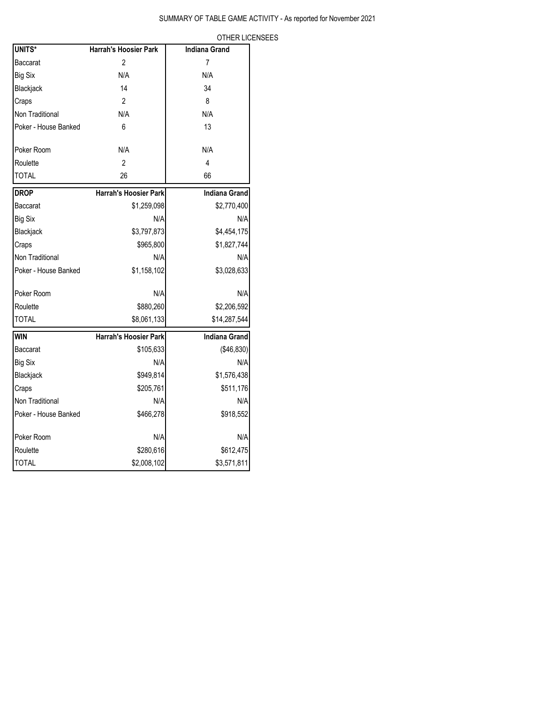OTHER LICENSEES

| UNITS*               | <b>Harrah's Hoosier Park</b> | <b>Indiana Grand</b> |
|----------------------|------------------------------|----------------------|
| Baccarat             | 2                            | 7                    |
| <b>Big Six</b>       | N/A                          | N/A                  |
| Blackjack            | 14                           | 34                   |
| Craps                | $\overline{2}$               | 8                    |
| Non Traditional      | N/A                          | N/A                  |
| Poker - House Banked | 6                            | 13                   |
| Poker Room           | N/A                          | N/A                  |
| Roulette             | $\mathfrak{p}$               | 4                    |
| <b>TOTAL</b>         | 26                           | 66                   |
| <b>DROP</b>          | <b>Harrah's Hoosier Park</b> | <b>Indiana Grand</b> |
| Baccarat             | \$1,259,098                  | \$2,770,400          |
| <b>Big Six</b>       | N/A                          | N/A                  |
| Blackjack            | \$3,797,873                  | \$4,454,175          |
| Craps                | \$965,800                    | \$1,827,744          |
| Non Traditional      | N/A                          | N/A                  |
| Poker - House Banked | \$1,158,102                  | \$3,028,633          |
| Poker Room           | N/A                          | N/A                  |
| Roulette             | \$880,260                    | \$2,206,592          |
| <b>TOTAL</b>         | \$8,061,133                  | \$14,287,544         |
| <b>WIN</b>           | <b>Harrah's Hoosier Park</b> | <b>Indiana Grand</b> |
| Baccarat             | \$105,633                    | (\$46,830)           |
| <b>Big Six</b>       | N/A                          | N/A                  |
| Blackjack            | \$949,814                    | \$1,576,438          |
| Craps                | \$205,761                    | \$511,176            |
| Non Traditional      | N/A                          | N/A                  |
| Poker - House Banked | \$466,278                    | \$918,552            |
| Poker Room           | N/A                          | N/A                  |
| Roulette             | \$280,616                    | \$612,475            |
| <b>TOTAL</b>         | \$2,008,102                  | \$3,571,811          |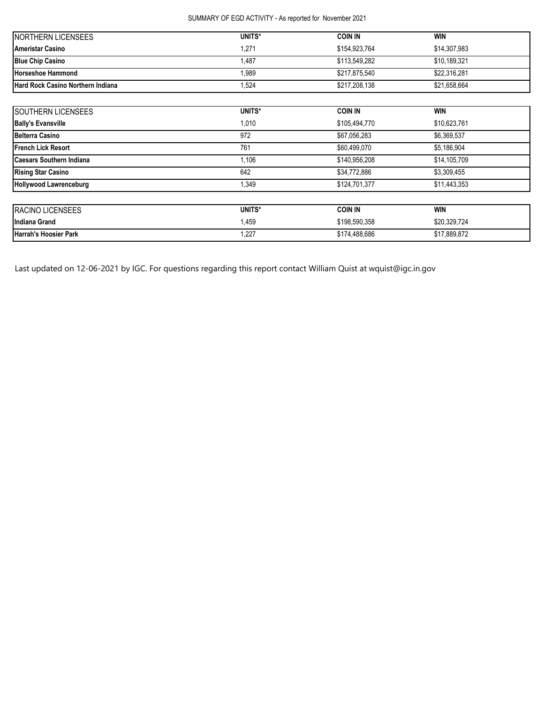## SUMMARY OF EGD ACTIVITY - As reported for November 2021

| <b>INORTHERN LICENSEES</b>        | UNITS*        | <b>COIN IN</b> | <b>WIN</b>   |
|-----------------------------------|---------------|----------------|--------------|
| <b>Ameristar Casino</b>           | $.27^{\circ}$ | \$154.923.764  | \$14,307,983 |
| <b>Blue Chip Casino</b>           | .487          | \$113.549.282  | \$10.189.321 |
| <b>Horseshoe Hammond</b>          | ,989          | \$217.875.540  | \$22.316.281 |
| Hard Rock Casino Northern Indiana | .524          | \$217,208,138  | \$21,658,664 |

| SOUTHERN LICENSEES              | UNITS* | <b>COIN IN</b> | <b>WIN</b>   |  |
|---------------------------------|--------|----------------|--------------|--|
| <b>Bally's Evansville</b>       | 1,010  | \$105,494,770  | \$10,623,761 |  |
| <b>Belterra Casino</b>          | 972    | \$67,056,283   | \$6,369,537  |  |
| <b>French Lick Resort</b>       | 761    | \$60,499,070   | \$5,186,904  |  |
| <b>Caesars Southern Indiana</b> | 1,106  | \$140,956,208  | \$14,105,709 |  |
| <b>Rising Star Casino</b>       | 642    | \$34,772,886   | \$3,309,455  |  |
| <b>Hollywood Lawrenceburg</b>   | 1,349  | \$124,701,377  | \$11,443,353 |  |
| RACINO LICENSEES                | UNITS* | <b>COIN IN</b> | <b>WIN</b>   |  |
| Indiana Grand                   | 1,459  | \$198,590,358  | \$20,329,724 |  |
| <b>Harrah's Hoosier Park</b>    | 1,227  | \$174,488,686  | \$17,889,872 |  |

Last updated on 12-06-2021 by IGC. For questions regarding this report contact William Quist at wquist@igc.in.gov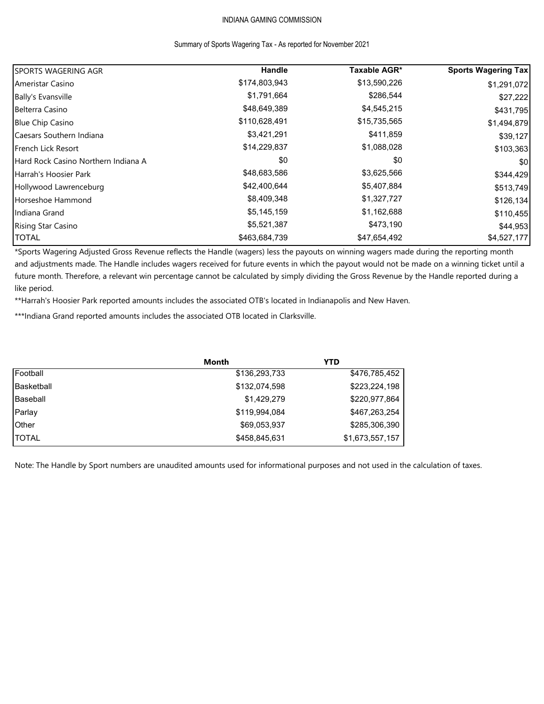# INDIANA GAMING COMMISSION

#### Summary of Sports Wagering Tax - As reported for November 2021

| <b>SPORTS WAGERING AGR</b>          | Handle        | Taxable AGR* | <b>Sports Wagering Tax</b> |
|-------------------------------------|---------------|--------------|----------------------------|
| Ameristar Casino                    | \$174,803,943 | \$13,590,226 | \$1,291,072                |
| <b>Bally's Evansville</b>           | \$1,791,664   | \$286,544    | \$27,222                   |
| Belterra Casino                     | \$48,649,389  | \$4,545,215  | \$431,795                  |
| <b>Blue Chip Casino</b>             | \$110,628,491 | \$15,735,565 | \$1,494,879                |
| Caesars Southern Indiana            | \$3,421,291   | \$411,859    | \$39,127                   |
| French Lick Resort                  | \$14,229,837  | \$1,088,028  | \$103,363                  |
| Hard Rock Casino Northern Indiana A | \$0           | \$0          | \$0                        |
| Harrah's Hoosier Park               | \$48,683,586  | \$3,625,566  | \$344,429                  |
| Hollywood Lawrenceburg              | \$42,400,644  | \$5,407,884  | \$513,749                  |
| Horseshoe Hammond                   | \$8,409,348   | \$1,327,727  | \$126,134                  |
| Indiana Grand                       | \$5,145,159   | \$1,162,688  | \$110,455                  |
| <b>Rising Star Casino</b>           | \$5,521,387   | \$473,190    | \$44,953                   |
| <b>TOTAL</b>                        | \$463,684,739 | \$47,654,492 | \$4,527,177                |

\*Sports Wagering Adjusted Gross Revenue reflects the Handle (wagers) less the payouts on winning wagers made during the reporting month and adjustments made. The Handle includes wagers received for future events in which the payout would not be made on a winning ticket until a future month. Therefore, a relevant win percentage cannot be calculated by simply dividing the Gross Revenue by the Handle reported during a like period.

\*\*Harrah's Hoosier Park reported amounts includes the associated OTB's located in Indianapolis and New Haven.

\*\*\*Indiana Grand reported amounts includes the associated OTB located in Clarksville.

|              | Month         | YTD             |
|--------------|---------------|-----------------|
| Football     | \$136,293,733 | \$476,785,452   |
| Basketball   | \$132,074,598 | \$223,224,198   |
| Baseball     | \$1,429,279   | \$220,977,864   |
| Parlay       | \$119,994,084 | \$467,263,254   |
| <b>Other</b> | \$69,053,937  | \$285,306,390   |
| <b>TOTAL</b> | \$458,845,631 | \$1,673,557,157 |

Note: The Handle by Sport numbers are unaudited amounts used for informational purposes and not used in the calculation of taxes.